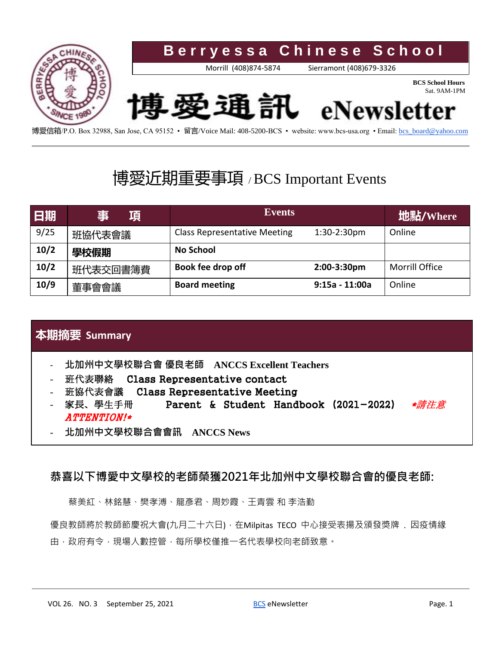

博愛信箱/P.O. Box 32988, San Jose, CA 95152 • 留言/Voice Mail: 408-5200-BCS • website: www.bcs-usa.org • Email[: bcs\\_board@yahoo.com](mailto:bcs_board@yahoo.com)

## 博愛近期重要事項 / BCS Important Events

| 日期   | 事<br>項   | <b>Events</b>                       |                  | 地點/Where              |
|------|----------|-------------------------------------|------------------|-----------------------|
| 9/25 | 班協代表會議   | <b>Class Representative Meeting</b> | $1:30-2:30$ pm   | Online                |
| 10/2 | 學校假期     | <b>No School</b>                    |                  |                       |
| 10/2 | 班代表交回書簿費 | Book fee drop off                   | 2:00-3:30pm      | <b>Morrill Office</b> |
| 10/9 | 董事會會議    | <b>Board meeting</b>                | $9:15a - 11:00a$ | Online                |

#### **本期摘要 Summary**

- **北加州中文學校聯合會 優良老師 ANCCS Excellent Teachers**
- 班代表聯絡 Class Representative contact
- 班協代表會議 Class Representative Meeting
- 家長、學生手冊 Parent & Student Handbook (2021-2022) ATTENTION!\*
- **北加州中文學校聯合會會訊 ANCCS News**

#### **恭喜以下博愛中文學校的老師榮獲2021年北加州中文學校聯合會的優良老師:**

蔡美紅、林銘慧、樊孝溥、龍彥君、周妙霞、王青雲 和 李浩勤

優良教師將於教師節慶祝大會(九月二十六日),在Milpitas TECO 中心接受表揚及頒發獎牌 . 因疫情緣 由,政府有令,現場人數控管,每所學校僅推一名代表學校向老師致意。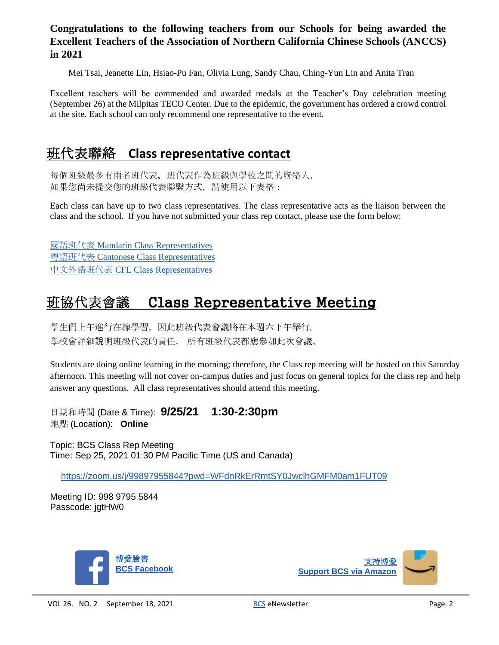#### **Congratulations to the following teachers from our Schools for being awarded the Excellent Teachers of the Association of Northern California Chinese Schools (ANCCS) in 2021**

Mei Tsai, Jeanette Lin, Hsiao-Pu Fan, Olivia Lung, Sandy Chau, Ching-Yun Lin and Anita Tran

Excellent teachers will be commended and awarded medals at the Teacher's Day celebration meeting (September 26) at the Milpitas TECO Center. Due to the epidemic, the government has ordered a crowd control at the site. Each school can only recommend one representative to the event.

## 班代表聯絡 **Class representative contact**

每個班級最多有兩名班代表,班代表作為班級與學校之間的聯絡人. 如果您尚未提交您的班級代表聯繫方式,請使用以下表格:

Each class can have up to two class representatives. The class representative acts as the liaison between the class and the school. If you have not submitted your class rep contact, please use the form below:

[國語班代表](https://docs.google.com/forms/d/e/1FAIpQLSeM75hYAB2fksSYL_oOdmwQyZfkd4cA2JVUeQTEETCbMr7b2g/viewform) [Mandarin Class Representatives](https://docs.google.com/forms/d/e/1FAIpQLSeM75hYAB2fksSYL_oOdmwQyZfkd4cA2JVUeQTEETCbMr7b2g/viewform) [粵語班代表](https://docs.google.com/forms/d/e/1FAIpQLSdNBHp9-8cRtk1mM6QEqgipMWs3Wf7KVZvYmrHxWnYtE-omaA/viewform) [Cantonese Class Representatives](https://docs.google.com/forms/d/e/1FAIpQLSdNBHp9-8cRtk1mM6QEqgipMWs3Wf7KVZvYmrHxWnYtE-omaA/viewform) [中文外語班代表](https://docs.google.com/forms/d/e/1FAIpQLSc6RZ_Pxn083hNibxlgaj4YyjFINykFI4WrBjvOxZk7qeb5Lg/viewform) [CFL Class Representatives](https://docs.google.com/forms/d/e/1FAIpQLSc6RZ_Pxn083hNibxlgaj4YyjFINykFI4WrBjvOxZk7qeb5Lg/viewform)

## Class Representative Meeting

學生們上午進行在線學習,因此班級代表會議將在本週六下午舉行。 學校會詳細說明班級代表的責任。 所有班級代表都應參加此次會議。

Students are doing online learning in the morning; therefore, the Class rep meeting will be hosted on this Saturday afternoon. This meeting will not cover on-campus duties and just focus on general topics for the class rep and help answer any questions. All class representatives should attend this meeting.

日期和時間 (Date & Time): **9/25/21 1:30-2:30pm** 地點 (Location): **Online**

Topic: BCS Class Rep Meeting Time: Sep 25, 2021 01:30 PM Pacific Time (US and Canada)

<https://zoom.us/j/99897955844?pwd=WFdnRkErRmtSY0JwclhGMFM0am1FUT09>

Meeting ID: 998 9795 5844 Passcode: jgtHW0



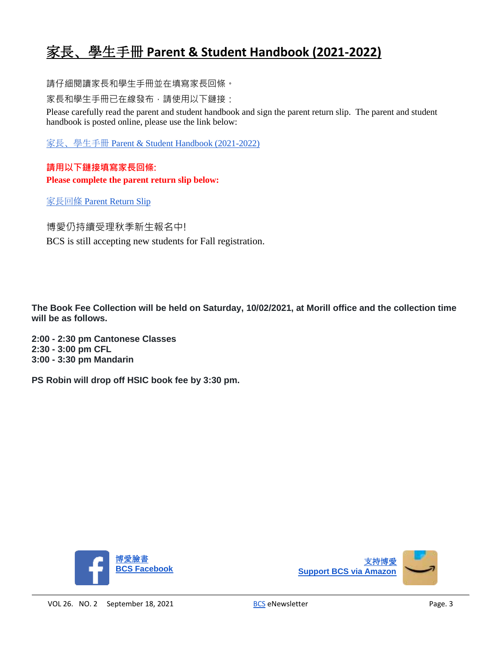## 家長、學生手冊 **Parent & Student Handbook (2021-2022)**

請仔細閱讀家長和學生手冊並在填寫家長回條。

家長和學生手冊已在線發布,請使用以下鏈接:

Please carefully read the parent and student handbook and sign the parent return slip. The parent and student handbook is posted online, please use the link below:

家長、學生手冊 [Parent & Student Handbook \(2021-2022\)](https://www.bcs-usa.org/wp-content/uploads/2021/09/2021-2022-Admin-BCS_Student_Handbook_v1.pdf)

**請用以下鏈接填寫家長回條: Please complete the parent return slip below:**

[家長回條](https://docs.google.com/forms/d/e/1FAIpQLSftj2y7fyqke5pS51iWebzZAwtYaMICPGurQ2_sSdAcrjBPtw/viewform) [Parent Return Slip](https://docs.google.com/forms/d/e/1FAIpQLSftj2y7fyqke5pS51iWebzZAwtYaMICPGurQ2_sSdAcrjBPtw/viewform)

博愛仍持續受理秋季新生報名中!

BCS is still accepting new students for Fall registration.

**The Book Fee Collection will be held on Saturday, 10/02/2021, at Morill office and the collection time will be as follows.**

**2:00 - 2:30 pm Cantonese Classes 2:30 - 3:00 pm CFL 3:00 - 3:30 pm Mandarin**

**PS Robin will drop off HSIC book fee by 3:30 pm.**



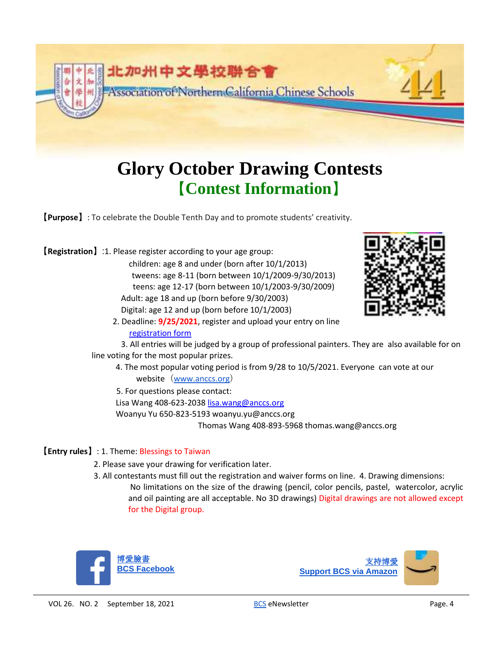

# **Glory October Drawing Contests**  【**Contest Information**】

【**Purpose**】: To celebrate the Double Tenth Day and to promote students' creativity.

【**Registration**】:1. Please register according to your age group:

children: age 8 and under (born after 10/1/2013) tweens: age 8-11 (born between 10/1/2009-9/30/2013) teens: age 12-17 (born between 10/1/2003-9/30/2009) Adult: age 18 and up (born before 9/30/2003) Digital: age 12 and up (born before 10/1/2003)



2. Deadline: **9/25/2021**, register and upload your entry on line registration form

3. All entries will be judged by a group of professional painters. They are also available for on line voting for the most popular prizes.

4. The most popular voting period is from 9/28 to 10/5/2021. Everyone can vote at our website ([www.anccs.org](http://www.anccs.org/))

5. For questions please contact:

Lisa Wang 408-623-2038 lisa.wang@anccs.org

Woanyu Yu 650-823-5193 woanyu.yu@anccs.org

Thomas Wang 408-893-5968 thomas.wang@anccs.org

#### 【**Entry rules**】: 1. Theme: Blessings to Taiwan

- 2. Please save your drawing for verification later.
- 3. All contestants must fill out the registration and waiver forms on line. 4. Drawing dimensions: No limitations on the size of the drawing (pencil, color pencils, pastel, watercolor, acrylic and oil painting are all acceptable. No 3D drawings) Digital drawings are not allowed except for the Digital group.



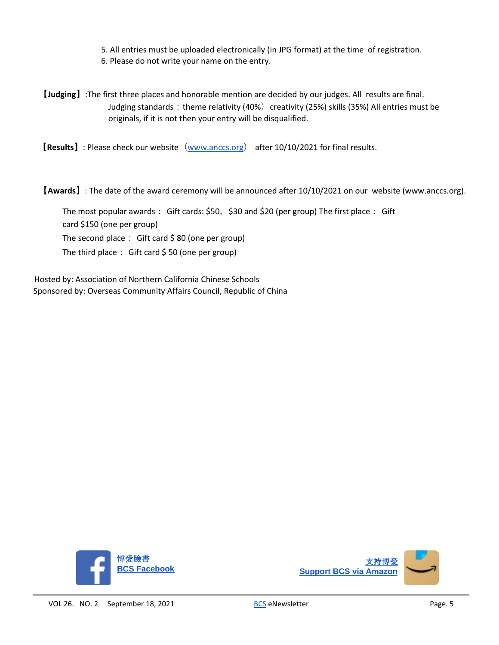5. All entries must be uploaded electronically (in JPG format) at the time of registration.

- 6. Please do not write your name on the entry.
- 【**Judging**】:The first three places and honorable mention are decided by our judges. All results are final. Judging standards: theme relativity (40%) creativity (25%) skills (35%) All entries must be originals, if it is not then your entry will be disqualified.

【**Results**】: Please check our website([www.anccs.org](http://www.anccs.org/)) after 10/10/2021 for final results.

【**Awards**】: The date of the award ceremony will be announced after 10/10/2021 on our website (www.anccs.org).

The most popular awards: Gift cards: \$50, \$30 and \$20 (per group) The first place: Gift

card \$150 (one per group)

The second place: Gift card  $\frac{1}{2}$  80 (one per group)

The third place: Gift card  $$50$  (one per group)

Hosted by: Association of Northern California Chinese Schools Sponsored by: Overseas Community Affairs Council, Republic of China



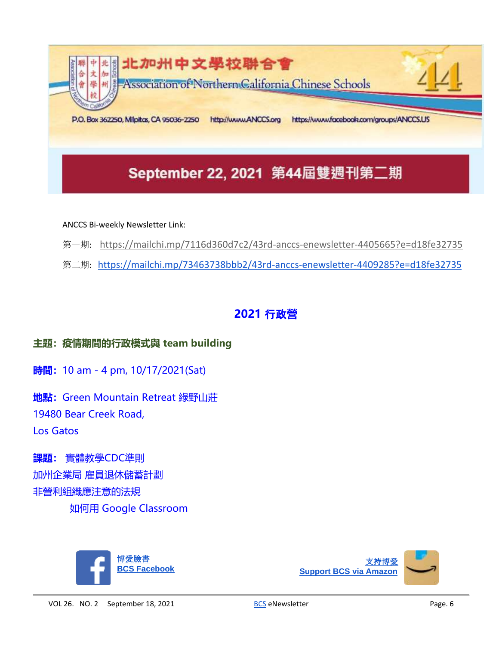![](_page_5_Picture_0.jpeg)

#### ANCCS Bi-weekly Newsletter Link:

- 第一期: <https://mailchi.mp/7116d360d7c2/43rd-anccs-enewsletter-4405665?e=d18fe32735>
- 第二期: <https://mailchi.mp/73463738bbb2/43rd-anccs-enewsletter-4409285?e=d18fe32735>

### **2021** 行政**營**

#### **主題:疫情期間的行政模式與 team building**

**時間:**10 am - 4 pm, 10/17/2021(Sat)

**地點:**Green Mountain Retreat 綠野山莊 19480 Bear Creek Road, Los Gatos

**課題:** 實體教學CDC準則 加州企業局 雇員退休儲蓄計劃 非營利組織應注意的法規 如何用 Google Classroom

![](_page_5_Picture_9.jpeg)

![](_page_5_Picture_10.jpeg)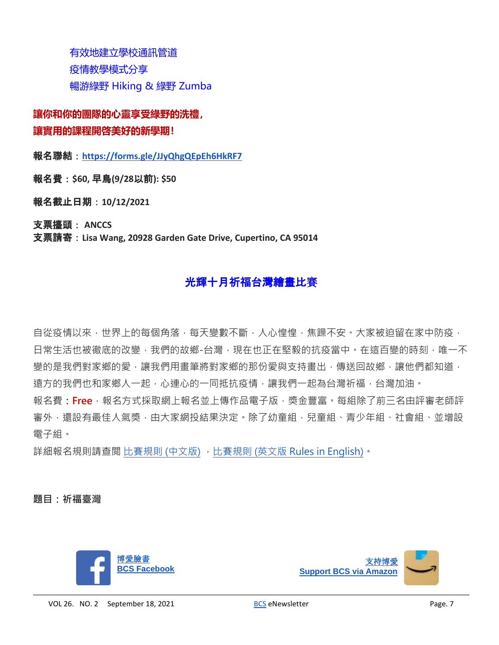有效地建立學校通訊管道 疫情教學模式分享 暢游綠野 Hiking & 綠野 Zumba

**讓你和你的團隊的心靈享受綠野的洗禮, 讓實用的課程開啓美好的新學期!**

報名聯結:**<https://forms.gle/JJyQhgQEpEh6HkRF7>**

報名費:**\$60,** 早鳥**(9/28**以前**): \$50**

報名截止日期:**10/12/2021**

支票擡頭: **ANCCS** 支票請寄:**Lisa Wang, 20928 Garden Gate Drive, Cupertino, CA 95014**

### 光輝十月祈福台灣繪畫比賽

自從疫情以來,世界上的每個角落,每天變數不斷,人心惶惶,焦躁不安。大家被迫留在家中防疫, 日常生活也被徹底的改變,我們的故鄉-台灣,現在也正在堅毅的抗疫當中。在這百變的時刻,唯一不 變的是我們對家鄉的愛,讓我們用書筆將對家鄉的那份愛與支持書出,傳送回故鄉,讓他們都知道, 遠方的我們也和家鄉人一起,心連心的一同抵抗疫情,讓我們一起為台灣祈福,台灣加油。 報名費**:Free**,報名方式採取網上報名並上傳作品電子版,獎金豐富。每組除了前三名由評審老師評 審外,還設有最佳人氣獎,由大家網投結果決定。除了幼童組,兒童組、青少年組、社會組、並增設

電子組。

詳細報名規則請查閲 [比賽規則](https://drive.google.com/file/d/193lSAVQ9G8HVIfopV_rO3YnWcI-uYjba/view?usp=sharing) (中文版),比賽規則 (英文版 [Rules in English\)](https://drive.google.com/file/d/1OhGeZAZgi60i1B3kF6irx24iMkinGj2D/view?usp=sharing)。

**題目:祈福臺灣**

![](_page_6_Picture_11.jpeg)

![](_page_6_Picture_12.jpeg)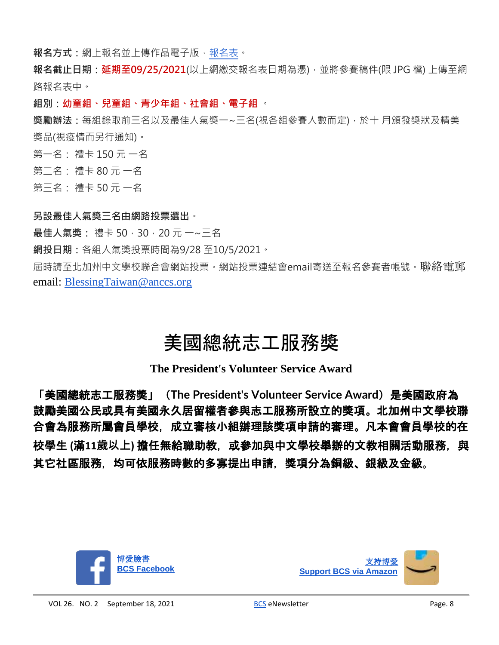**報名方式**:網上報名並上傳作品電子版[,報名表。](https://docs.google.com/forms/d/e/1FAIpQLSf1Xi8Z4mx_HGFT7Su8y4EwavXbo5YEeQJv6n58j3Iizrzr6w/viewform?usp=sf_link)

**報名截止日期:延期至09/25/2021**(以上網繳交報名表日期為憑),並將參賽稿件(限 JPG 檔) 上傳至網 路報名表中。

**組別:幼童組、兒童組、青少年組、社會組、電子組** 。

**獎勵辦法:**每組錄取前三名以及最佳人氣獎一~三名(視各組參賽人數而定),於十 月頒發獎狀及精美 獎品(視疫情而另行通知)。

第一名: 禮卡 150 元 一名

第二名: 禮卡 80 元 一名

第三名: 禮卡 50 元 一名

#### **另設最佳人氣獎三名由網路投票選出**。

最**佳人氣獎:** 禮卡 50, 30, 20元 一~三名

**網投日期:**各組人氣獎投票時間為9/28 至10/5/2021。

屆時請至北加州中文學校聯合會網站投票。網站投票連結會email寄送至報名參賽者帳號。聯絡電郵 email: [BlessingTaiwan@anccs.org](mailto:BlessingTaiwan@anccs.org)

# 美國總統志工服務獎

**The President's Volunteer Service Award**

「美國總統志工服務獎」(**The President's Volunteer Service Award**)是美國政府為 鼓勵美國公民或具有美國永久居留權者參與志工服務所設立的獎項。北加州中文學校聯 合會為服務所屬會員學校,成立審核小組辦理該獎項申請的審理。凡本會會員學校的在 校學生 **(**滿**11歲以上)** 擔任無給職助教,或參加與中文學校舉辦的文教相關活動服務,與 其它社區服務,均可依服務時數的多寡提出申請,獎項分為銅級、銀級及金級。

![](_page_7_Picture_14.jpeg)

![](_page_7_Picture_15.jpeg)